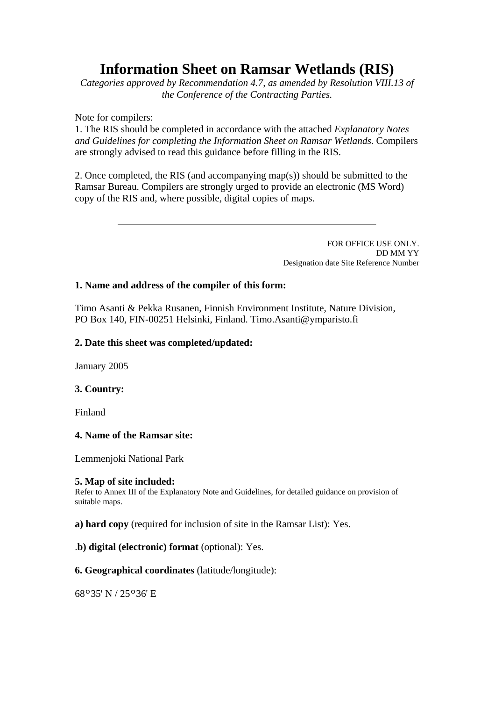# **Information Sheet on Ramsar Wetlands (RIS)**

*Categories approved by Recommendation 4.7, as amended by Resolution VIII.13 of the Conference of the Contracting Parties.*

Note for compilers:

1. The RIS should be completed in accordance with the attached *Explanatory Notes and Guidelines for completing the Information Sheet on Ramsar Wetlands*. Compilers are strongly advised to read this guidance before filling in the RIS.

2. Once completed, the RIS (and accompanying map(s)) should be submitted to the Ramsar Bureau. Compilers are strongly urged to provide an electronic (MS Word) copy of the RIS and, where possible, digital copies of maps.

> FOR OFFICE USE ONLY. DD MM YY Designation date Site Reference Number

# **1. Name and address of the compiler of this form:**

Timo Asanti & Pekka Rusanen, Finnish Environment Institute, Nature Division, PO Box 140, FIN-00251 Helsinki, Finland. Timo.Asanti@ymparisto.fi

# **2. Date this sheet was completed/updated:**

January 2005

# **3. Country:**

Finland

# **4. Name of the Ramsar site:**

Lemmenjoki National Park

# **5. Map of site included:**

Refer to Annex III of the Explanatory Note and Guidelines, for detailed guidance on provision of suitable maps.

**a) hard copy** (required for inclusion of site in the Ramsar List): Yes.

# .**b) digital (electronic) format** (optional): Yes.

# **6. Geographical coordinates** (latitude/longitude):

68º35' N / 25º36' E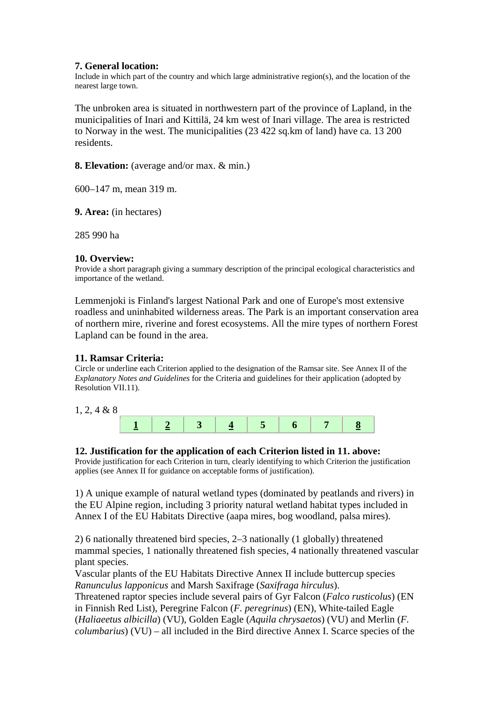**7. General location:** Include in which part of the country and which large administrative region(s), and the location of the nearest large town.

The unbroken area is situated in northwestern part of the province of Lapland, in the municipalities of Inari and Kittilä, 24 km west of Inari village. The area is restricted to Norway in the west. The municipalities (23 422 sq.km of land) have ca. 13 200 residents.

**8. Elevation:** (average and/or max. & min.)

600–147 m, mean 319 m.

**9. Area:** (in hectares)

285 990 ha

#### **10. Overview:**

Provide a short paragraph giving a summary description of the principal ecological characteristics and importance of the wetland.

Lemmenjoki is Finland's largest National Park and one of Europe's most extensive roadless and uninhabited wilderness areas. The Park is an important conservation area of northern mire, riverine and forest ecosystems. All the mire types of northern Forest Lapland can be found in the area.

# **11. Ramsar Criteria:**

Circle or underline each Criterion applied to the designation of the Ramsar site. See Annex II of the *Explanatory Notes and Guidelines* for the Criteria and guidelines for their application (adopted by Resolution VII.11).

1, 2, 4 & 8



# **12. Justification for the application of each Criterion listed in 11. above:**

Provide justification for each Criterion in turn, clearly identifying to which Criterion the justification applies (see Annex II for guidance on acceptable forms of justification).

1) A unique example of natural wetland types (dominated by peatlands and rivers) in the EU Alpine region, including 3 priority natural wetland habitat types included in Annex I of the EU Habitats Directive (aapa mires, bog woodland, palsa mires).

2) 6 nationally threatened bird species, 2–3 nationally (1 globally) threatened mammal species, 1 nationally threatened fish species, 4 nationally threatened vascular plant species.

Vascular plants of the EU Habitats Directive Annex II include buttercup species *Ranunculus lapponicus* and Marsh Saxifrage (*Saxifraga hirculus*).

Threatened raptor species include several pairs of Gyr Falcon (*Falco rusticolus*) (EN in Finnish Red List), Peregrine Falcon (*F. peregrinus*) (EN), White-tailed Eagle (*Haliaeetus albicilla*) (VU), Golden Eagle (*Aquila chrysaetos*) (VU) and Merlin (*F. columbarius*) (VU) – all included in the Bird directive Annex I. Scarce species of the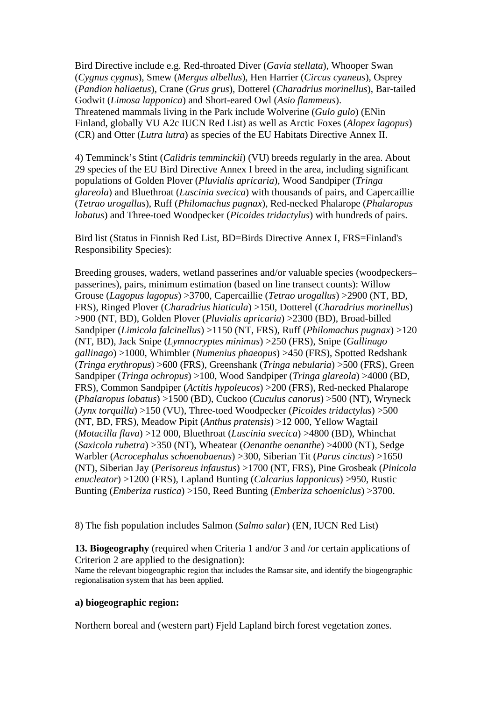Bird Directive include e.g. Red-throated Diver (*Gavia stellata*), Whooper Swan (*Cygnus cygnus*), Smew (*Mergus albellus*), Hen Harrier (*Circus cyaneus*), Osprey (*Pandion haliaetus*), Crane (*Grus grus*), Dotterel (*Charadrius morinellus*), Bar-tailed Godwit (*Limosa lapponica*) and Short-eared Owl (*Asio flammeus*). Threatened mammals living in the Park include Wolverine (*Gulo gulo*) (ENin Finland, globally VU A2c IUCN Red List) as well as Arctic Foxes (*Alopex lagopus*) (CR) and Otter (*Lutra lutra*) as species of the EU Habitats Directive Annex II.

4) Temminck's Stint (*Calidris temminckii*) (VU) breeds regularly in the area. About 29 species of the EU Bird Directive Annex I breed in the area, including significant populations of Golden Plover (*Pluvialis apricaria*), Wood Sandpiper (*Tringa glareola*) and Bluethroat (*Luscinia svecica*) with thousands of pairs, and Capercaillie (*Tetrao urogallus*), Ruff (*Philomachus pugnax*), Red-necked Phalarope (*Phalaropus lobatus*) and Three-toed Woodpecker (*Picoides tridactylus*) with hundreds of pairs.

Bird list (Status in Finnish Red List, BD=Birds Directive Annex I, FRS=Finland's Responsibility Species):

Breeding grouses, waders, wetland passerines and/or valuable species (woodpeckers– passerines), pairs, minimum estimation (based on line transect counts): Willow Grouse (*Lagopus lagopus*) >3700, Capercaillie (*Tetrao urogallus*) >2900 (NT, BD, FRS), Ringed Plover (*Charadrius hiaticula*) >150, Dotterel (*Charadrius morinellus*) >900 (NT, BD), Golden Plover (*Pluvialis apricaria*) >2300 (BD), Broad-billed Sandpiper (*Limicola falcinellus*) >1150 (NT, FRS), Ruff (*Philomachus pugnax*) >120 (NT, BD), Jack Snipe (*Lymnocryptes minimus*) >250 (FRS), Snipe (*Gallinago gallinago*) >1000, Whimbler (*Numenius phaeopus*) >450 (FRS), Spotted Redshank (*Tringa erythropus*) >600 (FRS), Greenshank (*Tringa nebularia*) >500 (FRS), Green Sandpiper (*Tringa ochropus*) >100, Wood Sandpiper (*Tringa glareola*) >4000 (BD, FRS), Common Sandpiper (*Actitis hypoleucos*) >200 (FRS), Red-necked Phalarope (*Phalaropus lobatus*) >1500 (BD), Cuckoo (*Cuculus canorus*) >500 (NT), Wryneck (*Jynx torquilla*) >150 (VU), Three-toed Woodpecker (*Picoides tridactylus*) >500 (NT, BD, FRS), Meadow Pipit (*Anthus pratensis*) >12 000, Yellow Wagtail (*Motacilla flava*) >12 000, Bluethroat (*Luscinia svecica*) >4800 (BD), Whinchat (*Saxicola rubetra*) >350 (NT), Wheatear (*Oenanthe oenanthe*) >4000 (NT), Sedge Warbler (*Acrocephalus schoenobaenus*) >300, Siberian Tit (*Parus cinctus*) >1650 (NT), Siberian Jay (*Perisoreus infaustus*) >1700 (NT, FRS), Pine Grosbeak (*Pinicola enucleator*) >1200 (FRS), Lapland Bunting (*Calcarius lapponicus*) >950, Rustic Bunting (*Emberiza rustica*) >150, Reed Bunting (*Emberiza schoeniclus*) >3700.

8) The fish population includes Salmon (*Salmo salar*) (EN, IUCN Red List)

**13. Biogeography** (required when Criteria 1 and/or 3 and /or certain applications of Criterion 2 are applied to the designation):

Name the relevant biogeographic region that includes the Ramsar site, and identify the biogeographic regionalisation system that has been applied.

#### **a) biogeographic region:**

Northern boreal and (western part) Fjeld Lapland birch forest vegetation zones.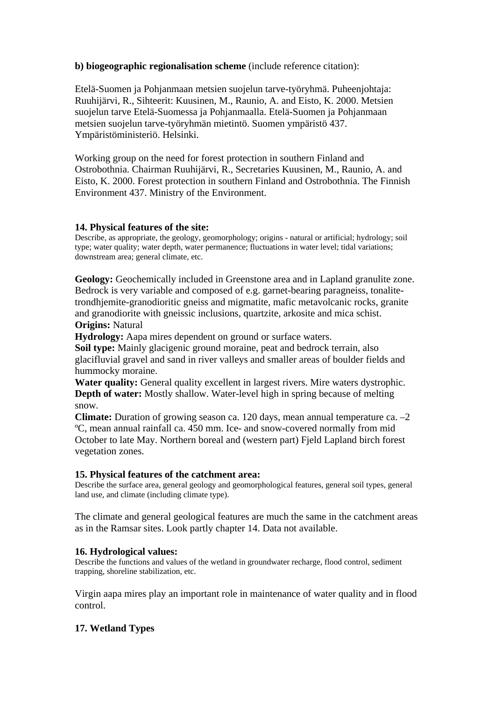# **b) biogeographic regionalisation scheme** (include reference citation):

Etelä-Suomen ja Pohjanmaan metsien suojelun tarve-työryhmä. Puheenjohtaja: Ruuhijärvi, R., Sihteerit: Kuusinen, M., Raunio, A. and Eisto, K. 2000. Metsien suojelun tarve Etelä-Suomessa ja Pohjanmaalla. Etelä-Suomen ja Pohjanmaan metsien suojelun tarve-työryhmän mietintö. Suomen ympäristö 437. Ympäristöministeriö. Helsinki.

Working group on the need for forest protection in southern Finland and Ostrobothnia. Chairman Ruuhijärvi, R., Secretaries Kuusinen, M., Raunio, A. and Eisto, K. 2000. Forest protection in southern Finland and Ostrobothnia. The Finnish Environment 437. Ministry of the Environment.

# **14. Physical features of the site:**

Describe, as appropriate, the geology, geomorphology; origins - natural or artificial; hydrology; soil type; water quality; water depth, water permanence; fluctuations in water level; tidal variations; downstream area; general climate, etc.

**Geology:** Geochemically included in Greenstone area and in Lapland granulite zone. Bedrock is very variable and composed of e.g. garnet-bearing paragneiss, tonalitetrondhjemite-granodioritic gneiss and migmatite, mafic metavolcanic rocks, granite and granodiorite with gneissic inclusions, quartzite, arkosite and mica schist. **Origins:** Natural

**Hydrology:** Aapa mires dependent on ground or surface waters.

**Soil type:** Mainly glacigenic ground moraine, peat and bedrock terrain, also glacifluvial gravel and sand in river valleys and smaller areas of boulder fields and hummocky moraine.

**Water quality:** General quality excellent in largest rivers. Mire waters dystrophic. **Depth of water:** Mostly shallow. Water-level high in spring because of melting snow.

**Climate:** Duration of growing season ca. 120 days, mean annual temperature ca. –2 ºC, mean annual rainfall ca. 450 mm. Ice- and snow-covered normally from mid October to late May. Northern boreal and (western part) Fjeld Lapland birch forest vegetation zones.

# **15. Physical features of the catchment area:**

Describe the surface area, general geology and geomorphological features, general soil types, general land use, and climate (including climate type).

The climate and general geological features are much the same in the catchment areas as in the Ramsar sites. Look partly chapter 14. Data not available.

# **16. Hydrological values:**

Describe the functions and values of the wetland in groundwater recharge, flood control, sediment trapping, shoreline stabilization, etc.

Virgin aapa mires play an important role in maintenance of water quality and in flood control.

# **17. Wetland Types**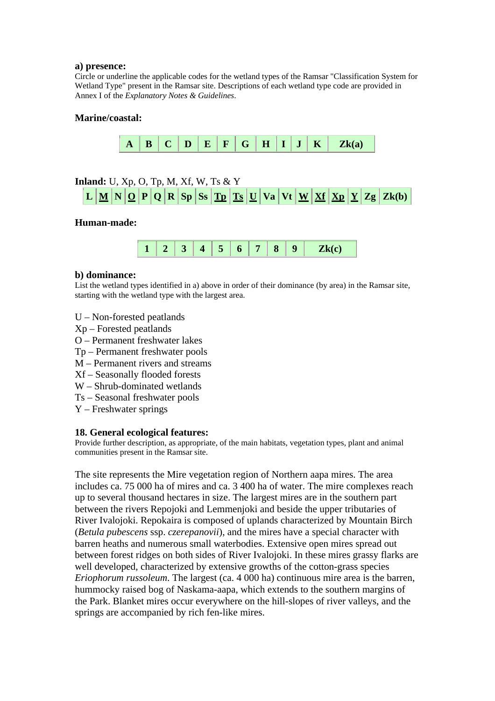#### **a) presence:**

Circle or underline the applicable codes for the wetland types of the Ramsar "Classification System for Wetland Type" present in the Ramsar site. Descriptions of each wetland type code are provided in Annex I of the *Explanatory Notes & Guidelines*.

#### **Marine/coastal:**



# **Inland:** U, Xp, O, Tp, M, Xf, W, Ts & Y



#### **Human-made:**

#### **b) dominance:**

List the wetland types identified in a) above in order of their dominance (by area) in the Ramsar site, starting with the wetland type with the largest area.

- U Non-forested peatlands
- Xp Forested peatlands
- O Permanent freshwater lakes
- Tp Permanent freshwater pools
- M Permanent rivers and streams
- Xf Seasonally flooded forests
- W Shrub-dominated wetlands
- Ts Seasonal freshwater pools
- Y Freshwater springs

#### **18. General ecological features:**

Provide further description, as appropriate, of the main habitats, vegetation types, plant and animal communities present in the Ramsar site.

The site represents the Mire vegetation region of Northern aapa mires. The area includes ca. 75 000 ha of mires and ca. 3 400 ha of water. The mire complexes reach up to several thousand hectares in size. The largest mires are in the southern part between the rivers Repojoki and Lemmenjoki and beside the upper tributaries of River Ivalojoki. Repokaira is composed of uplands characterized by Mountain Birch (*Betula pubescens* ssp. *czerepanovii*), and the mires have a special character with barren heaths and numerous small waterbodies. Extensive open mires spread out between forest ridges on both sides of River Ivalojoki. In these mires grassy flarks are well developed, characterized by extensive growths of the cotton-grass species *Eriophorum russoleum*. The largest (ca. 4 000 ha) continuous mire area is the barren, hummocky raised bog of Naskama-aapa, which extends to the southern margins of the Park. Blanket mires occur everywhere on the hill-slopes of river valleys, and the springs are accompanied by rich fen-like mires.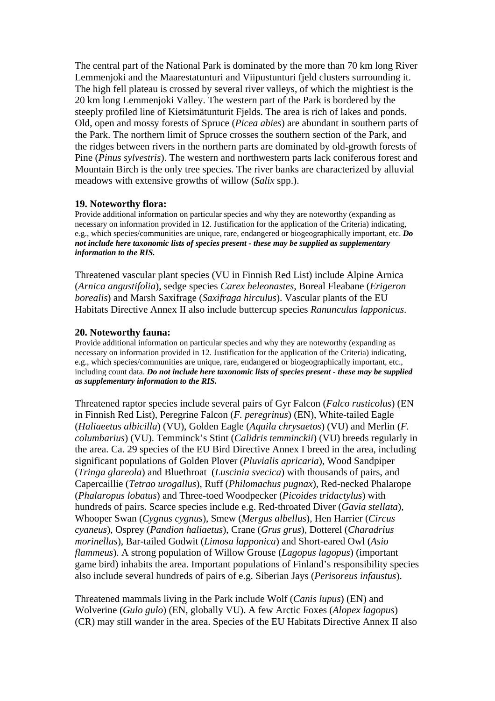The central part of the National Park is dominated by the more than 70 km long River Lemmenjoki and the Maarestatunturi and Viipustunturi fjeld clusters surrounding it. The high fell plateau is crossed by several river valleys, of which the mightiest is the 20 km long Lemmenjoki Valley. The western part of the Park is bordered by the steeply profiled line of Kietsimätunturit Fjelds. The area is rich of lakes and ponds. Old, open and mossy forests of Spruce (*Picea abies*) are abundant in southern parts of the Park. The northern limit of Spruce crosses the southern section of the Park, and the ridges between rivers in the northern parts are dominated by old-growth forests of Pine (*Pinus sylvestris*). The western and northwestern parts lack coniferous forest and Mountain Birch is the only tree species. The river banks are characterized by alluvial meadows with extensive growths of willow (*Salix* spp.).

#### **19. Noteworthy flora:**

Provide additional information on particular species and why they are noteworthy (expanding as necessary on information provided in 12. Justification for the application of the Criteria) indicating, e.g., which species/communities are unique, rare, endangered or biogeographically important, etc. *Do not include here taxonomic lists of species present - these may be supplied as supplementary information to the RIS.*

Threatened vascular plant species (VU in Finnish Red List) include Alpine Arnica (*Arnica angustifolia*), sedge species *Carex heleonastes*, Boreal Fleabane (*Erigeron borealis*) and Marsh Saxifrage (*Saxifraga hirculus*). Vascular plants of the EU Habitats Directive Annex II also include buttercup species *Ranunculus lapponicus*.

#### **20. Noteworthy fauna:**

Provide additional information on particular species and why they are noteworthy (expanding as necessary on information provided in 12. Justification for the application of the Criteria) indicating, e.g., which species/communities are unique, rare, endangered or biogeographically important, etc., including count data. *Do not include here taxonomic lists of species present - these may be supplied as supplementary information to the RIS.*

Threatened raptor species include several pairs of Gyr Falcon (*Falco rusticolus*) (EN in Finnish Red List), Peregrine Falcon (*F. peregrinus*) (EN), White-tailed Eagle (*Haliaeetus albicilla*) (VU), Golden Eagle (*Aquila chrysaetos*) (VU) and Merlin (*F. columbarius*) (VU). Temminck's Stint (*Calidris temminckii*) (VU) breeds regularly in the area. Ca. 29 species of the EU Bird Directive Annex I breed in the area, including significant populations of Golden Plover (*Pluvialis apricaria*), Wood Sandpiper (*Tringa glareola*) and Bluethroat (*Luscinia svecica*) with thousands of pairs, and Capercaillie (*Tetrao urogallus*), Ruff (*Philomachus pugnax*), Red-necked Phalarope (*Phalaropus lobatus*) and Three-toed Woodpecker (*Picoides tridactylus*) with hundreds of pairs. Scarce species include e.g. Red-throated Diver (*Gavia stellata*), Whooper Swan (*Cygnus cygnus*), Smew (*Mergus albellus*), Hen Harrier (*Circus cyaneus*), Osprey (*Pandion haliaetus*), Crane (*Grus grus*), Dotterel (*Charadrius morinellus*), Bar-tailed Godwit (*Limosa lapponica*) and Short-eared Owl (*Asio flammeus*). A strong population of Willow Grouse (*Lagopus lagopus*) (important game bird) inhabits the area. Important populations of Finland's responsibility species also include several hundreds of pairs of e.g. Siberian Jays (*Perisoreus infaustus*).

Threatened mammals living in the Park include Wolf (*Canis lupus*) (EN) and Wolverine (*Gulo gulo*) (EN, globally VU). A few Arctic Foxes (*Alopex lagopus*) (CR) may still wander in the area. Species of the EU Habitats Directive Annex II also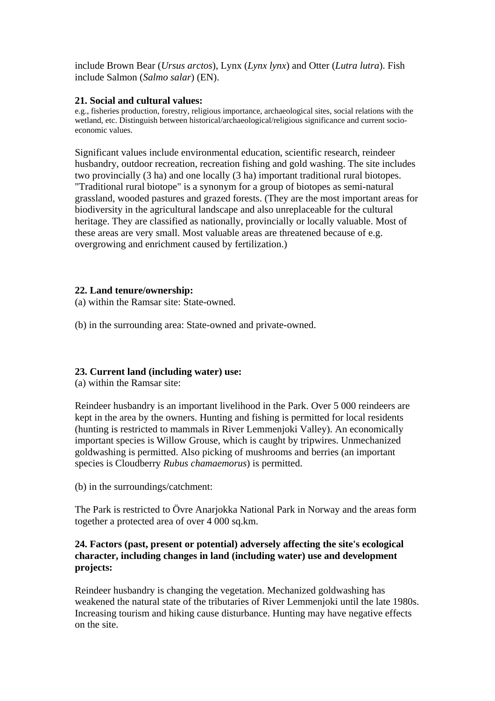include Brown Bear (*Ursus arctos*), Lynx (*Lynx lynx*) and Otter (*Lutra lutra*). Fish include Salmon (*Salmo salar*) (EN).

# **21. Social and cultural values:**

e.g., fisheries production, forestry, religious importance, archaeological sites, social relations with the wetland, etc. Distinguish between historical/archaeological/religious significance and current socioeconomic values.

Significant values include environmental education, scientific research, reindeer husbandry, outdoor recreation, recreation fishing and gold washing. The site includes two provincially (3 ha) and one locally (3 ha) important traditional rural biotopes. "Traditional rural biotope" is a synonym for a group of biotopes as semi-natural grassland, wooded pastures and grazed forests. (They are the most important areas for biodiversity in the agricultural landscape and also unreplaceable for the cultural heritage. They are classified as nationally, provincially or locally valuable. Most of these areas are very small. Most valuable areas are threatened because of e.g. overgrowing and enrichment caused by fertilization.)

# **22. Land tenure/ownership:**

(a) within the Ramsar site: State-owned.

(b) in the surrounding area: State-owned and private-owned.

# **23. Current land (including water) use:**

(a) within the Ramsar site:

Reindeer husbandry is an important livelihood in the Park. Over 5 000 reindeers are kept in the area by the owners. Hunting and fishing is permitted for local residents (hunting is restricted to mammals in River Lemmenjoki Valley). An economically important species is Willow Grouse, which is caught by tripwires. Unmechanized goldwashing is permitted. Also picking of mushrooms and berries (an important species is Cloudberry *Rubus chamaemorus*) is permitted.

(b) in the surroundings/catchment:

The Park is restricted to Övre Anarjokka National Park in Norway and the areas form together a protected area of over 4 000 sq.km.

# **24. Factors (past, present or potential) adversely affecting the site's ecological character, including changes in land (including water) use and development projects:**

Reindeer husbandry is changing the vegetation. Mechanized goldwashing has weakened the natural state of the tributaries of River Lemmenjoki until the late 1980s. Increasing tourism and hiking cause disturbance. Hunting may have negative effects on the site.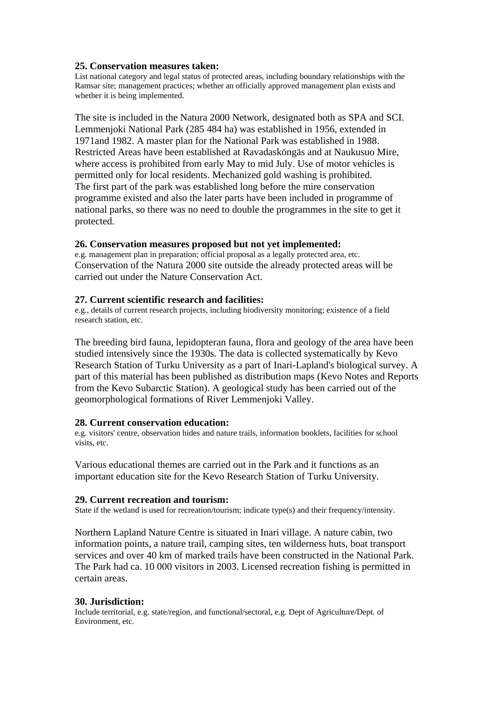#### **25. Conservation measures taken:**

List national category and legal status of protected areas, including boundary relationships with the Ramsar site; management practices; whether an officially approved management plan exists and whether it is being implemented.

The site is included in the Natura 2000 Network, designated both as SPA and SCI. Lemmenjoki National Park (285 484 ha) was established in 1956, extended in 1971and 1982. A master plan for the National Park was established in 1988. Restricted Areas have been established at Ravadasköngäs and at Naukusuo Mire, where access is prohibited from early May to mid July. Use of motor vehicles is permitted only for local residents. Mechanized gold washing is prohibited. The first part of the park was established long before the mire conservation programme existed and also the later parts have been included in programme of national parks, so there was no need to double the programmes in the site to get it protected.

# **26. Conservation measures proposed but not yet implemented:**

e.g. management plan in preparation; official proposal as a legally protected area, etc. Conservation of the Natura 2000 site outside the already protected areas will be carried out under the Nature Conservation Act.

#### **27. Current scientific research and facilities:**

e.g., details of current research projects, including biodiversity monitoring; existence of a field research station, etc.

The breeding bird fauna, lepidopteran fauna, flora and geology of the area have been studied intensively since the 1930s. The data is collected systematically by Kevo Research Station of Turku University as a part of Inari-Lapland's biological survey. A part of this material has been published as distribution maps (Kevo Notes and Reports from the Kevo Subarctic Station). A geological study has been carried out of the geomorphological formations of River Lemmenjoki Valley.

#### **28. Current conservation education:**

e.g. visitors' centre, observation hides and nature trails, information booklets, facilities for school visits, etc.

Various educational themes are carried out in the Park and it functions as an important education site for the Kevo Research Station of Turku University.

#### **29. Current recreation and tourism:**

State if the wetland is used for recreation/tourism; indicate type(s) and their frequency/intensity.

Northern Lapland Nature Centre is situated in Inari village. A nature cabin, two information points, a nature trail, camping sites, ten wilderness huts, boat transport services and over 40 km of marked trails have been constructed in the National Park. The Park had ca. 10 000 visitors in 2003. Licensed recreation fishing is permitted in certain areas.

#### **30. Jurisdiction:**

Include territorial, e.g. state/region, and functional/sectoral, e.g. Dept of Agriculture/Dept. of Environment, etc.